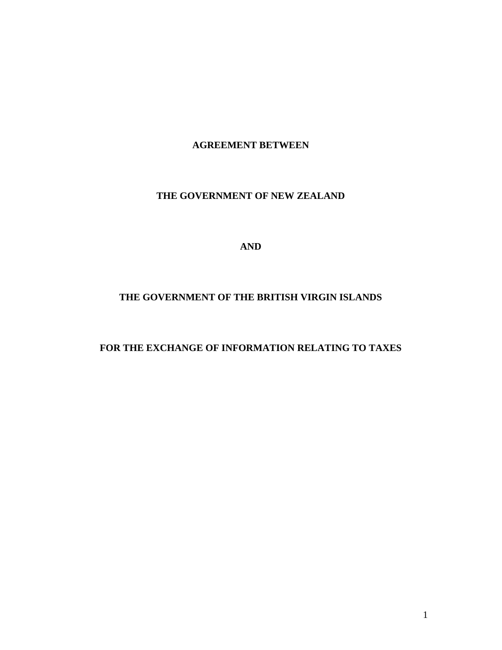#### **AGREEMENT BETWEEN**

## **THE GOVERNMENT OF NEW ZEALAND**

**AND**

# **THE GOVERNMENT OF THE BRITISH VIRGIN ISLANDS**

## **FOR THE EXCHANGE OF INFORMATION RELATING TO TAXES**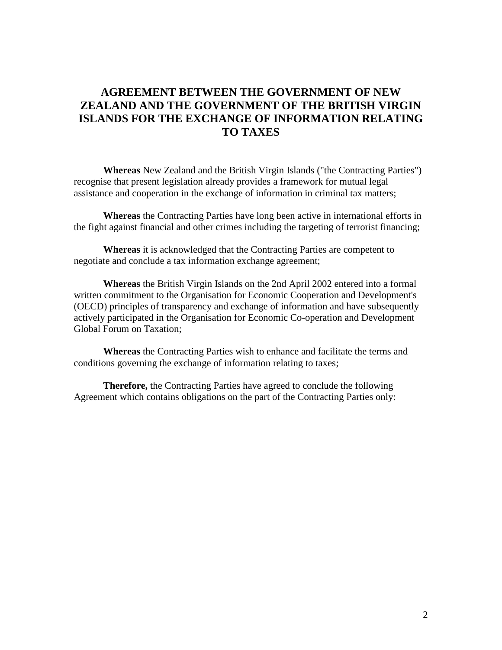# **AGREEMENT BETWEEN THE GOVERNMENT OF NEW ZEALAND AND THE GOVERNMENT OF THE BRITISH VIRGIN ISLANDS FOR THE EXCHANGE OF INFORMATION RELATING TO TAXES**

**Whereas** New Zealand and the British Virgin Islands ("the Contracting Parties") recognise that present legislation already provides a framework for mutual legal assistance and cooperation in the exchange of information in criminal tax matters;

**Whereas** the Contracting Parties have long been active in international efforts in the fight against financial and other crimes including the targeting of terrorist financing;

**Whereas** it is acknowledged that the Contracting Parties are competent to negotiate and conclude a tax information exchange agreement;

**Whereas** the British Virgin Islands on the 2nd April 2002 entered into a formal written commitment to the Organisation for Economic Cooperation and Development's (OECD) principles of transparency and exchange of information and have subsequently actively participated in the Organisation for Economic Co-operation and Development Global Forum on Taxation;

**Whereas** the Contracting Parties wish to enhance and facilitate the terms and conditions governing the exchange of information relating to taxes;

**Therefore,** the Contracting Parties have agreed to conclude the following Agreement which contains obligations on the part of the Contracting Parties only: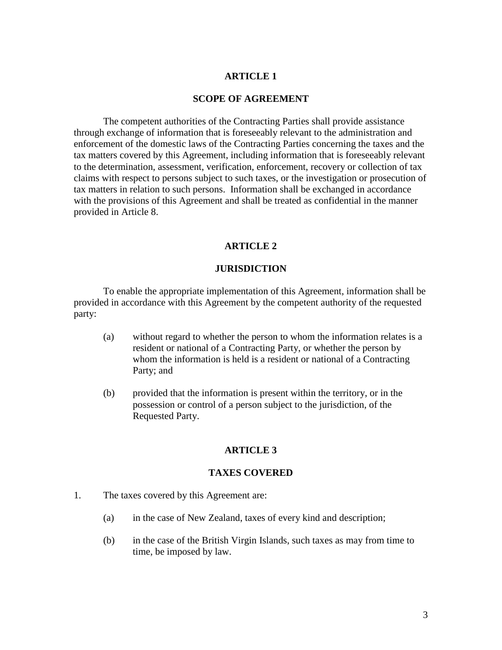#### **ARTICLE 1**

#### **SCOPE OF AGREEMENT**

The competent authorities of the Contracting Parties shall provide assistance through exchange of information that is foreseeably relevant to the administration and enforcement of the domestic laws of the Contracting Parties concerning the taxes and the tax matters covered by this Agreement, including information that is foreseeably relevant to the determination, assessment, verification, enforcement, recovery or collection of tax claims with respect to persons subject to such taxes, or the investigation or prosecution of tax matters in relation to such persons. Information shall be exchanged in accordance with the provisions of this Agreement and shall be treated as confidential in the manner provided in Article 8.

#### **ARTICLE 2**

#### **JURISDICTION**

To enable the appropriate implementation of this Agreement, information shall be provided in accordance with this Agreement by the competent authority of the requested party:

- (a) without regard to whether the person to whom the information relates is a resident or national of a Contracting Party, or whether the person by whom the information is held is a resident or national of a Contracting Party; and
- (b) provided that the information is present within the territory, or in the possession or control of a person subject to the jurisdiction, of the Requested Party.

#### **ARTICLE 3**

#### **TAXES COVERED**

- 1. The taxes covered by this Agreement are:
	- (a) in the case of New Zealand, taxes of every kind and description;
	- (b) in the case of the British Virgin Islands, such taxes as may from time to time, be imposed by law.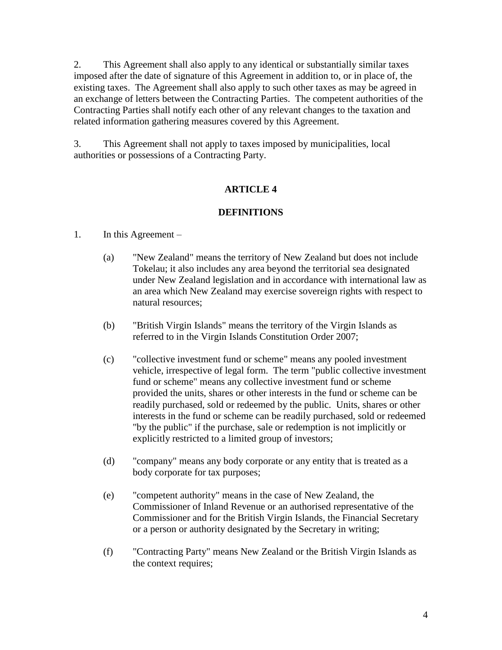2. This Agreement shall also apply to any identical or substantially similar taxes imposed after the date of signature of this Agreement in addition to, or in place of, the existing taxes. The Agreement shall also apply to such other taxes as may be agreed in an exchange of letters between the Contracting Parties. The competent authorities of the Contracting Parties shall notify each other of any relevant changes to the taxation and related information gathering measures covered by this Agreement.

3. This Agreement shall not apply to taxes imposed by municipalities, local authorities or possessions of a Contracting Party.

# **ARTICLE 4**

# **DEFINITIONS**

- 1. In this Agreement
	- (a) "New Zealand" means the territory of New Zealand but does not include Tokelau; it also includes any area beyond the territorial sea designated under New Zealand legislation and in accordance with international law as an area which New Zealand may exercise sovereign rights with respect to natural resources;
	- (b) "British Virgin Islands" means the territory of the Virgin Islands as referred to in the Virgin Islands Constitution Order 2007;
	- (c) "collective investment fund or scheme" means any pooled investment vehicle, irrespective of legal form. The term "public collective investment fund or scheme" means any collective investment fund or scheme provided the units, shares or other interests in the fund or scheme can be readily purchased, sold or redeemed by the public. Units, shares or other interests in the fund or scheme can be readily purchased, sold or redeemed "by the public" if the purchase, sale or redemption is not implicitly or explicitly restricted to a limited group of investors;
	- (d) "company" means any body corporate or any entity that is treated as a body corporate for tax purposes;
	- (e) "competent authority" means in the case of New Zealand, the Commissioner of Inland Revenue or an authorised representative of the Commissioner and for the British Virgin Islands, the Financial Secretary or a person or authority designated by the Secretary in writing;
	- (f) "Contracting Party" means New Zealand or the British Virgin Islands as the context requires;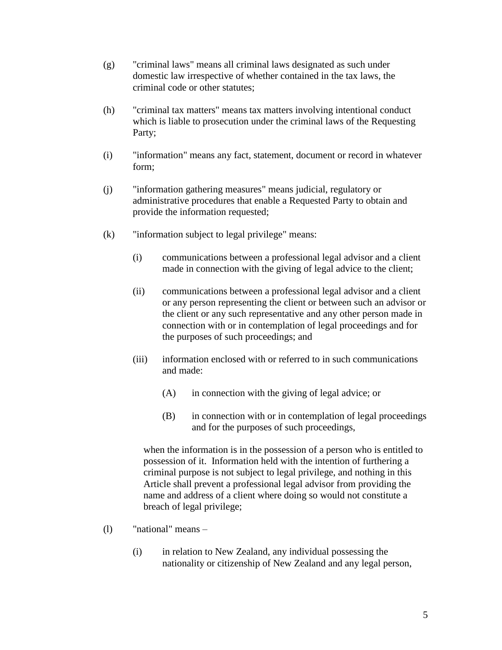- (g) "criminal laws" means all criminal laws designated as such under domestic law irrespective of whether contained in the tax laws, the criminal code or other statutes;
- (h) "criminal tax matters" means tax matters involving intentional conduct which is liable to prosecution under the criminal laws of the Requesting Party;
- (i) "information" means any fact, statement, document or record in whatever form;
- (j) "information gathering measures" means judicial, regulatory or administrative procedures that enable a Requested Party to obtain and provide the information requested;
- (k) "information subject to legal privilege" means:
	- (i) communications between a professional legal advisor and a client made in connection with the giving of legal advice to the client;
	- (ii) communications between a professional legal advisor and a client or any person representing the client or between such an advisor or the client or any such representative and any other person made in connection with or in contemplation of legal proceedings and for the purposes of such proceedings; and
	- (iii) information enclosed with or referred to in such communications and made:
		- (A) in connection with the giving of legal advice; or
		- (B) in connection with or in contemplation of legal proceedings and for the purposes of such proceedings,

when the information is in the possession of a person who is entitled to possession of it. Information held with the intention of furthering a criminal purpose is not subject to legal privilege, and nothing in this Article shall prevent a professional legal advisor from providing the name and address of a client where doing so would not constitute a breach of legal privilege;

- (l) "national" means
	- (i) in relation to New Zealand, any individual possessing the nationality or citizenship of New Zealand and any legal person,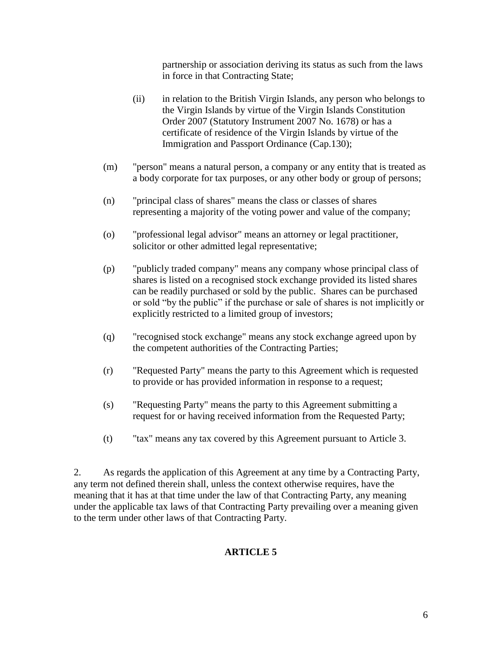partnership or association deriving its status as such from the laws in force in that Contracting State;

- (ii) in relation to the British Virgin Islands, any person who belongs to the Virgin Islands by virtue of the Virgin Islands Constitution Order 2007 (Statutory Instrument 2007 No. 1678) or has a certificate of residence of the Virgin Islands by virtue of the Immigration and Passport Ordinance (Cap.130);
- (m) "person" means a natural person, a company or any entity that is treated as a body corporate for tax purposes, or any other body or group of persons;
- (n) "principal class of shares" means the class or classes of shares representing a majority of the voting power and value of the company;
- (o) "professional legal advisor" means an attorney or legal practitioner, solicitor or other admitted legal representative;
- (p) "publicly traded company" means any company whose principal class of shares is listed on a recognised stock exchange provided its listed shares can be readily purchased or sold by the public. Shares can be purchased or sold "by the public" if the purchase or sale of shares is not implicitly or explicitly restricted to a limited group of investors;
- (q) "recognised stock exchange" means any stock exchange agreed upon by the competent authorities of the Contracting Parties;
- (r) "Requested Party" means the party to this Agreement which is requested to provide or has provided information in response to a request;
- (s) "Requesting Party" means the party to this Agreement submitting a request for or having received information from the Requested Party;
- (t) "tax" means any tax covered by this Agreement pursuant to Article 3.

2. As regards the application of this Agreement at any time by a Contracting Party, any term not defined therein shall, unless the context otherwise requires, have the meaning that it has at that time under the law of that Contracting Party, any meaning under the applicable tax laws of that Contracting Party prevailing over a meaning given to the term under other laws of that Contracting Party.

## **ARTICLE 5**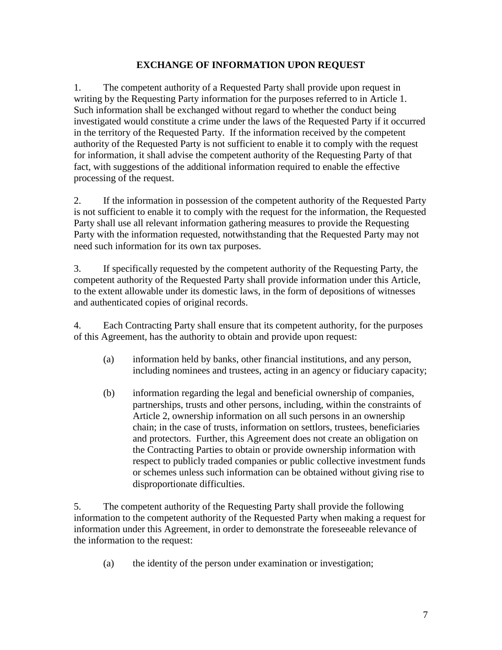## **EXCHANGE OF INFORMATION UPON REQUEST**

1. The competent authority of a Requested Party shall provide upon request in writing by the Requesting Party information for the purposes referred to in Article 1. Such information shall be exchanged without regard to whether the conduct being investigated would constitute a crime under the laws of the Requested Party if it occurred in the territory of the Requested Party. If the information received by the competent authority of the Requested Party is not sufficient to enable it to comply with the request for information, it shall advise the competent authority of the Requesting Party of that fact, with suggestions of the additional information required to enable the effective processing of the request.

2. If the information in possession of the competent authority of the Requested Party is not sufficient to enable it to comply with the request for the information, the Requested Party shall use all relevant information gathering measures to provide the Requesting Party with the information requested, notwithstanding that the Requested Party may not need such information for its own tax purposes.

3. If specifically requested by the competent authority of the Requesting Party, the competent authority of the Requested Party shall provide information under this Article, to the extent allowable under its domestic laws, in the form of depositions of witnesses and authenticated copies of original records.

4. Each Contracting Party shall ensure that its competent authority, for the purposes of this Agreement, has the authority to obtain and provide upon request:

- (a) information held by banks, other financial institutions, and any person, including nominees and trustees, acting in an agency or fiduciary capacity;
- (b) information regarding the legal and beneficial ownership of companies, partnerships, trusts and other persons, including, within the constraints of Article 2, ownership information on all such persons in an ownership chain; in the case of trusts, information on settlors, trustees, beneficiaries and protectors. Further, this Agreement does not create an obligation on the Contracting Parties to obtain or provide ownership information with respect to publicly traded companies or public collective investment funds or schemes unless such information can be obtained without giving rise to disproportionate difficulties.

5. The competent authority of the Requesting Party shall provide the following information to the competent authority of the Requested Party when making a request for information under this Agreement, in order to demonstrate the foreseeable relevance of the information to the request:

(a) the identity of the person under examination or investigation;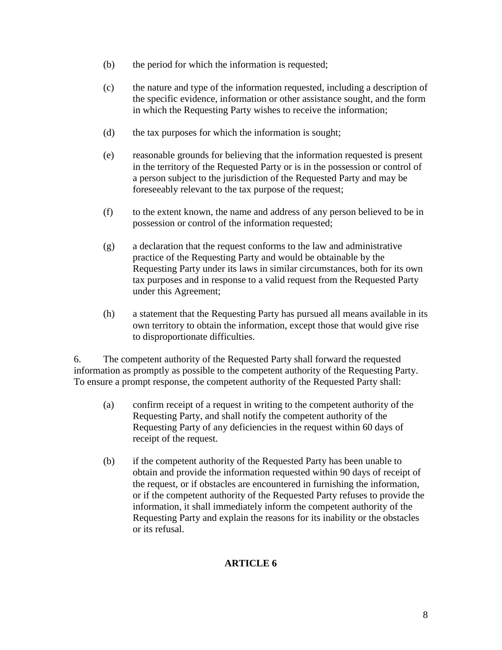- (b) the period for which the information is requested;
- (c) the nature and type of the information requested, including a description of the specific evidence, information or other assistance sought, and the form in which the Requesting Party wishes to receive the information;
- (d) the tax purposes for which the information is sought;
- (e) reasonable grounds for believing that the information requested is present in the territory of the Requested Party or is in the possession or control of a person subject to the jurisdiction of the Requested Party and may be foreseeably relevant to the tax purpose of the request;
- (f) to the extent known, the name and address of any person believed to be in possession or control of the information requested;
- (g) a declaration that the request conforms to the law and administrative practice of the Requesting Party and would be obtainable by the Requesting Party under its laws in similar circumstances, both for its own tax purposes and in response to a valid request from the Requested Party under this Agreement;
- (h) a statement that the Requesting Party has pursued all means available in its own territory to obtain the information, except those that would give rise to disproportionate difficulties.

6. The competent authority of the Requested Party shall forward the requested information as promptly as possible to the competent authority of the Requesting Party. To ensure a prompt response, the competent authority of the Requested Party shall:

- (a) confirm receipt of a request in writing to the competent authority of the Requesting Party, and shall notify the competent authority of the Requesting Party of any deficiencies in the request within 60 days of receipt of the request.
- (b) if the competent authority of the Requested Party has been unable to obtain and provide the information requested within 90 days of receipt of the request, or if obstacles are encountered in furnishing the information, or if the competent authority of the Requested Party refuses to provide the information, it shall immediately inform the competent authority of the Requesting Party and explain the reasons for its inability or the obstacles or its refusal.

# **ARTICLE 6**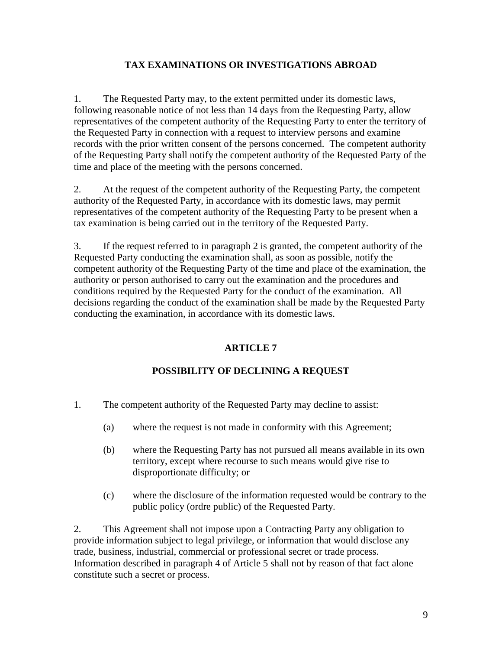## **TAX EXAMINATIONS OR INVESTIGATIONS ABROAD**

1. The Requested Party may, to the extent permitted under its domestic laws, following reasonable notice of not less than 14 days from the Requesting Party, allow representatives of the competent authority of the Requesting Party to enter the territory of the Requested Party in connection with a request to interview persons and examine records with the prior written consent of the persons concerned. The competent authority of the Requesting Party shall notify the competent authority of the Requested Party of the time and place of the meeting with the persons concerned.

2. At the request of the competent authority of the Requesting Party, the competent authority of the Requested Party, in accordance with its domestic laws, may permit representatives of the competent authority of the Requesting Party to be present when a tax examination is being carried out in the territory of the Requested Party.

3. If the request referred to in paragraph 2 is granted, the competent authority of the Requested Party conducting the examination shall, as soon as possible, notify the competent authority of the Requesting Party of the time and place of the examination, the authority or person authorised to carry out the examination and the procedures and conditions required by the Requested Party for the conduct of the examination. All decisions regarding the conduct of the examination shall be made by the Requested Party conducting the examination, in accordance with its domestic laws.

# **ARTICLE 7**

# **POSSIBILITY OF DECLINING A REQUEST**

- 1. The competent authority of the Requested Party may decline to assist:
	- (a) where the request is not made in conformity with this Agreement;
	- (b) where the Requesting Party has not pursued all means available in its own territory, except where recourse to such means would give rise to disproportionate difficulty; or
	- (c) where the disclosure of the information requested would be contrary to the public policy (ordre public) of the Requested Party.

2. This Agreement shall not impose upon a Contracting Party any obligation to provide information subject to legal privilege, or information that would disclose any trade, business, industrial, commercial or professional secret or trade process. Information described in paragraph 4 of Article 5 shall not by reason of that fact alone constitute such a secret or process.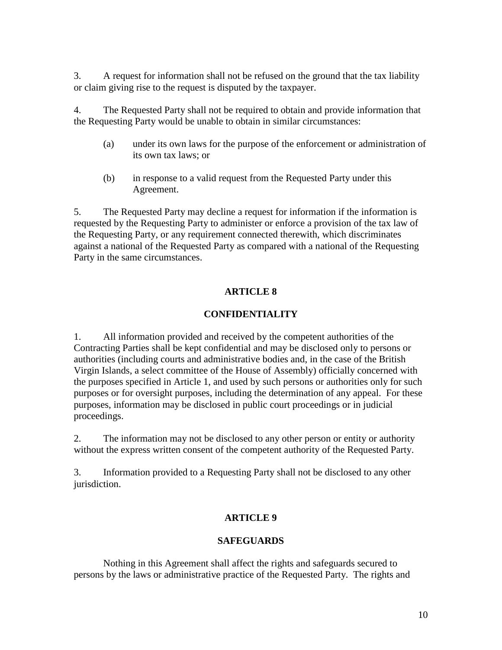3. A request for information shall not be refused on the ground that the tax liability or claim giving rise to the request is disputed by the taxpayer.

4. The Requested Party shall not be required to obtain and provide information that the Requesting Party would be unable to obtain in similar circumstances:

- (a) under its own laws for the purpose of the enforcement or administration of its own tax laws; or
- (b) in response to a valid request from the Requested Party under this Agreement.

5. The Requested Party may decline a request for information if the information is requested by the Requesting Party to administer or enforce a provision of the tax law of the Requesting Party, or any requirement connected therewith, which discriminates against a national of the Requested Party as compared with a national of the Requesting Party in the same circumstances.

# **ARTICLE 8**

## **CONFIDENTIALITY**

1. All information provided and received by the competent authorities of the Contracting Parties shall be kept confidential and may be disclosed only to persons or authorities (including courts and administrative bodies and, in the case of the British Virgin Islands, a select committee of the House of Assembly) officially concerned with the purposes specified in Article 1, and used by such persons or authorities only for such purposes or for oversight purposes, including the determination of any appeal. For these purposes, information may be disclosed in public court proceedings or in judicial proceedings.

2. The information may not be disclosed to any other person or entity or authority without the express written consent of the competent authority of the Requested Party.

3. Information provided to a Requesting Party shall not be disclosed to any other jurisdiction.

## **ARTICLE 9**

## **SAFEGUARDS**

Nothing in this Agreement shall affect the rights and safeguards secured to persons by the laws or administrative practice of the Requested Party. The rights and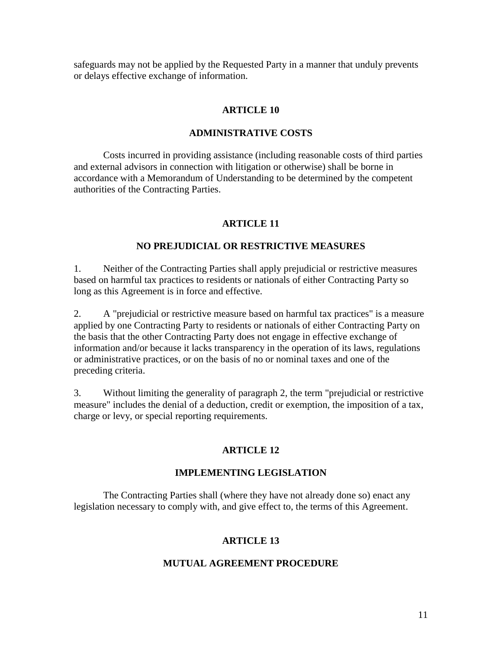safeguards may not be applied by the Requested Party in a manner that unduly prevents or delays effective exchange of information.

#### **ARTICLE 10**

#### **ADMINISTRATIVE COSTS**

Costs incurred in providing assistance (including reasonable costs of third parties and external advisors in connection with litigation or otherwise) shall be borne in accordance with a Memorandum of Understanding to be determined by the competent authorities of the Contracting Parties.

## **ARTICLE 11**

### **NO PREJUDICIAL OR RESTRICTIVE MEASURES**

1. Neither of the Contracting Parties shall apply prejudicial or restrictive measures based on harmful tax practices to residents or nationals of either Contracting Party so long as this Agreement is in force and effective.

2. A "prejudicial or restrictive measure based on harmful tax practices" is a measure applied by one Contracting Party to residents or nationals of either Contracting Party on the basis that the other Contracting Party does not engage in effective exchange of information and/or because it lacks transparency in the operation of its laws, regulations or administrative practices, or on the basis of no or nominal taxes and one of the preceding criteria.

3. Without limiting the generality of paragraph 2, the term "prejudicial or restrictive measure" includes the denial of a deduction, credit or exemption, the imposition of a tax, charge or levy, or special reporting requirements.

## **ARTICLE 12**

#### **IMPLEMENTING LEGISLATION**

The Contracting Parties shall (where they have not already done so) enact any legislation necessary to comply with, and give effect to, the terms of this Agreement.

#### **ARTICLE 13**

## **MUTUAL AGREEMENT PROCEDURE**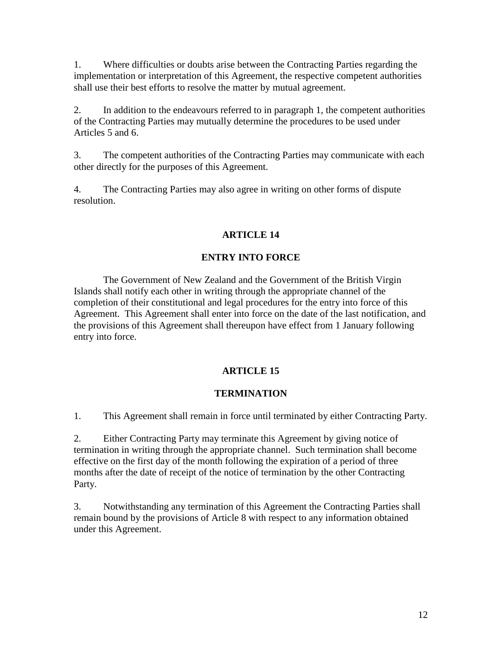1. Where difficulties or doubts arise between the Contracting Parties regarding the implementation or interpretation of this Agreement, the respective competent authorities shall use their best efforts to resolve the matter by mutual agreement.

2. In addition to the endeavours referred to in paragraph 1, the competent authorities of the Contracting Parties may mutually determine the procedures to be used under Articles 5 and 6.

3. The competent authorities of the Contracting Parties may communicate with each other directly for the purposes of this Agreement.

4. The Contracting Parties may also agree in writing on other forms of dispute resolution.

# **ARTICLE 14**

# **ENTRY INTO FORCE**

The Government of New Zealand and the Government of the British Virgin Islands shall notify each other in writing through the appropriate channel of the completion of their constitutional and legal procedures for the entry into force of this Agreement. This Agreement shall enter into force on the date of the last notification, and the provisions of this Agreement shall thereupon have effect from 1 January following entry into force.

# **ARTICLE 15**

## **TERMINATION**

1. This Agreement shall remain in force until terminated by either Contracting Party.

2. Either Contracting Party may terminate this Agreement by giving notice of termination in writing through the appropriate channel. Such termination shall become effective on the first day of the month following the expiration of a period of three months after the date of receipt of the notice of termination by the other Contracting Party.

3. Notwithstanding any termination of this Agreement the Contracting Parties shall remain bound by the provisions of Article 8 with respect to any information obtained under this Agreement.